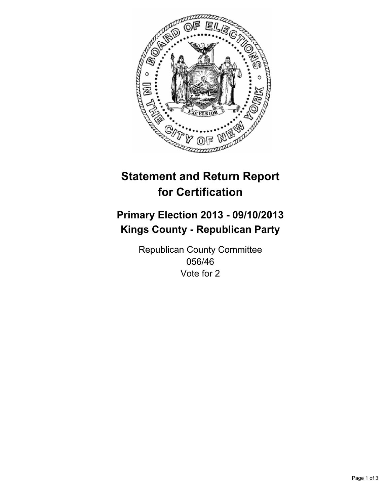

# **Statement and Return Report for Certification**

# **Primary Election 2013 - 09/10/2013 Kings County - Republican Party**

Republican County Committee 056/46 Vote for 2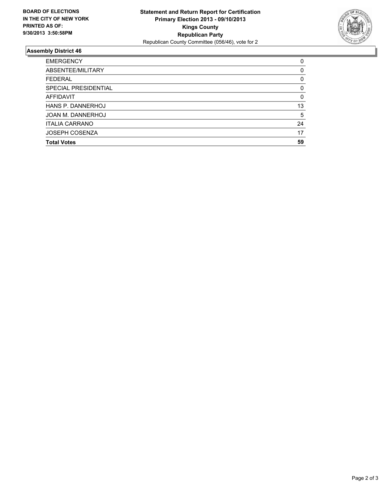

## **Assembly District 46**

| <b>EMERGENCY</b>      | 0        |
|-----------------------|----------|
| ABSENTEE/MILITARY     | $\Omega$ |
| <b>FEDERAL</b>        | 0        |
| SPECIAL PRESIDENTIAL  | 0        |
| AFFIDAVIT             | $\Omega$ |
| HANS P. DANNERHOJ     | 13       |
| JOAN M. DANNERHOJ     | 5        |
| <b>ITALIA CARRANO</b> | 24       |
| <b>JOSEPH COSENZA</b> | 17       |
| <b>Total Votes</b>    | 59       |